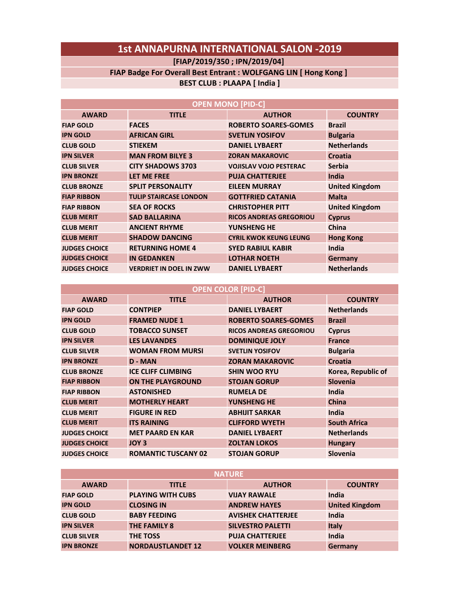# **1st ANNAPURNA INTERNATIONAL SALON -2019**

## **[FIAP/2019/350 ; IPN/2019/04]**

#### **FIAP Badge For Overall Best Entrant : WOLFGANG LIN [ Hong Kong ]**

## **BEST CLUB : PLAAPA [ India ]**

| <b>OPEN MONO [PID-C]</b> |                                |                                |                       |
|--------------------------|--------------------------------|--------------------------------|-----------------------|
| <b>AWARD</b>             | <b>TITLE</b>                   | <b>AUTHOR</b>                  | <b>COUNTRY</b>        |
| <b>FIAP GOLD</b>         | <b>FACES</b>                   | <b>ROBERTO SOARES-GOMES</b>    | <b>Brazil</b>         |
| <b>IPN GOLD</b>          | <b>AFRICAN GIRL</b>            | <b>SVETLIN YOSIFOV</b>         | <b>Bulgaria</b>       |
| <b>CLUB GOLD</b>         | <b>STIEKEM</b>                 | <b>DANIEL LYBAERT</b>          | <b>Netherlands</b>    |
| <b>IPN SILVER</b>        | <b>MAN FROM BILYE 3</b>        | <b>ZORAN MAKAROVIC</b>         | Croatia               |
| <b>CLUB SILVER</b>       | <b>CITY SHADOWS 3703</b>       | <b>VOJISLAV VOJO PESTERAC</b>  | <b>Serbia</b>         |
| <b>IPN BRONZE</b>        | LET ME FREE                    | <b>PUJA CHATTERJEE</b>         | India                 |
| <b>CLUB BRONZE</b>       | <b>SPLIT PERSONALITY</b>       | <b>EILEEN MURRAY</b>           | <b>United Kingdom</b> |
| <b>FIAP RIBBON</b>       | <b>TULIP STAIRCASE LONDON</b>  | <b>GOTTFRIED CATANIA</b>       | <b>Malta</b>          |
| <b>FIAP RIBBON</b>       | <b>SEA OF ROCKS</b>            | <b>CHRISTOPHER PITT</b>        | <b>United Kingdom</b> |
| <b>CLUB MERIT</b>        | <b>SAD BALLARINA</b>           | <b>RICOS ANDREAS GREGORIOU</b> | <b>Cyprus</b>         |
| <b>CLUB MERIT</b>        | <b>ANCIENT RHYME</b>           | YUNSHENG HE                    | China                 |
| <b>CLUB MERIT</b>        | <b>SHADOW DANCING</b>          | <b>CYRIL KWOK KEUNG LEUNG</b>  | <b>Hong Kong</b>      |
| <b>JUDGES CHOICE</b>     | <b>RETURNING HOME 4</b>        | <b>SYED RABIUL KABIR</b>       | India                 |
| <b>JUDGES CHOICE</b>     | <b>IN GEDANKEN</b>             | <b>LOTHAR NOETH</b>            | <b>Germany</b>        |
| <b>JUDGES CHOICE</b>     | <b>VERDRIET IN DOEL IN ZWW</b> | <b>DANIEL LYBAERT</b>          | <b>Netherlands</b>    |

### **OPEN COLOR [PID-C]**

| <b>AWARD</b>         | <b>TITLE</b>               | <b>AUTHOR</b>                  | <b>COUNTRY</b>      |
|----------------------|----------------------------|--------------------------------|---------------------|
| <b>FIAP GOLD</b>     | <b>CONTPIEP</b>            | <b>DANIEL LYBAERT</b>          | <b>Netherlands</b>  |
| <b>IPN GOLD</b>      | <b>FRAMED NUDE 1</b>       | <b>ROBERTO SOARES-GOMES</b>    | <b>Brazil</b>       |
| <b>CLUB GOLD</b>     | <b>TOBACCO SUNSET</b>      | <b>RICOS ANDREAS GREGORIOU</b> | <b>Cyprus</b>       |
| <b>IPN SILVER</b>    | <b>LES LAVANDES</b>        | <b>DOMINIQUE JOLY</b>          | <b>France</b>       |
| <b>CLUB SILVER</b>   | <b>WOMAN FROM MURSI</b>    | <b>SVETLIN YOSIFOV</b>         | <b>Bulgaria</b>     |
| <b>IPN BRONZE</b>    | <b>D</b> - MAN             | <b>ZORAN MAKAROVIC</b>         | <b>Croatia</b>      |
| <b>CLUB BRONZE</b>   | <b>ICE CLIFF CLIMBING</b>  | <b>SHIN WOO RYU</b>            | Korea, Republic of  |
| <b>FIAP RIBBON</b>   | <b>ON THE PLAYGROUND</b>   | <b>STOJAN GORUP</b>            | Slovenia            |
| <b>FIAP RIBBON</b>   | <b>ASTONISHED</b>          | <b>RUMELA DE</b>               | India               |
| <b>CLUB MERIT</b>    | <b>MOTHERLY HEART</b>      | <b>YUNSHENG HE</b>             | <b>China</b>        |
| <b>CLUB MERIT</b>    | <b>FIGURE IN RED</b>       | <b>ABHIJIT SARKAR</b>          | India               |
| <b>CLUB MERIT</b>    | <b>ITS RAINING</b>         | <b>CLIFFORD WYETH</b>          | <b>South Africa</b> |
| <b>JUDGES CHOICE</b> | <b>MET PAARD EN KAR</b>    | <b>DANIEL LYBAERT</b>          | <b>Netherlands</b>  |
| <b>JUDGES CHOICE</b> | JOY 3                      | <b>ZOLTAN LOKOS</b>            | <b>Hungary</b>      |
| <b>JUDGES CHOICE</b> | <b>ROMANTIC TUSCANY 02</b> | <b>STOJAN GORUP</b>            | <b>Slovenia</b>     |

| <b>NATURE</b>      |                          |                           |                       |
|--------------------|--------------------------|---------------------------|-----------------------|
| <b>AWARD</b>       | <b>TITLE</b>             | <b>AUTHOR</b>             | <b>COUNTRY</b>        |
| <b>FIAP GOLD</b>   | <b>PLAYING WITH CUBS</b> | <b>VIJAY RAWALE</b>       | India                 |
| <b>IPN GOLD</b>    | <b>CLOSING IN</b>        | <b>ANDREW HAYES</b>       | <b>United Kingdom</b> |
| <b>CLUB GOLD</b>   | <b>BABY FEEDING</b>      | <b>AVISHEK CHATTERJEE</b> | India                 |
| <b>IPN SILVER</b>  | <b>THE FAMILY 8</b>      | <b>SILVESTRO PALETTI</b>  | <b>Italy</b>          |
| <b>CLUB SILVER</b> | THE TOSS                 | <b>PUJA CHATTERJEE</b>    | India                 |
| <b>IPN BRONZE</b>  | <b>NORDAUSTLANDET 12</b> | <b>VOLKER MEINBERG</b>    | Germany               |